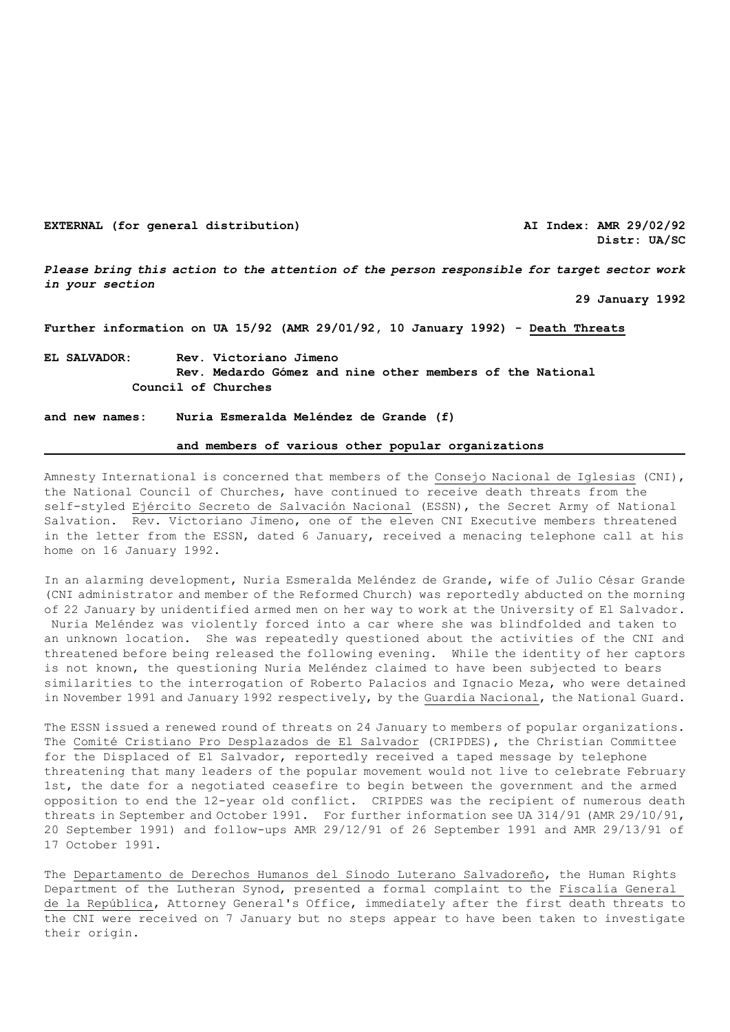**EXTERNAL (for general distribution) AI Index: AMR 29/02/92**

**Distr: UA/SC** 

*Please bring this action to the attention of the person responsible for target sector work in your section*

 **29 January 1992** 

**Further information on UA 15/92 (AMR 29/01/92, 10 January 1992) - Death Threats**

**EL SALVADOR: Rev. Victoriano Jimeno Rev. Medardo Gómez and nine other members of the National Council of Churches**

**and new names: Nuria Esmeralda Meléndez de Grande (f)**

## **and members of various other popular organizations**

Amnesty International is concerned that members of the Consejo Nacional de Iglesias (CNI), the National Council of Churches, have continued to receive death threats from the self-styled Ejército Secreto de Salvación Nacional (ESSN), the Secret Army of National Salvation. Rev. Victoriano Jimeno, one of the eleven CNI Executive members threatened in the letter from the ESSN, dated 6 January, received a menacing telephone call at his home on 16 January 1992.

In an alarming development, Nuria Esmeralda Meléndez de Grande, wife of Julio César Grande (CNI administrator and member of the Reformed Church) was reportedly abducted on the morning of 22 January by unidentified armed men on her way to work at the University of El Salvador. Nuria Meléndez was violently forced into a car where she was blindfolded and taken to an unknown location. She was repeatedly questioned about the activities of the CNI and threatened before being released the following evening. While the identity of her captors is not known, the questioning Nuria Meléndez claimed to have been subjected to bears similarities to the interrogation of Roberto Palacios and Ignacio Meza, who were detained in November 1991 and January 1992 respectively, by the Guardia Nacional, the National Guard.

The ESSN issued a renewed round of threats on 24 January to members of popular organizations. The Comité Cristiano Pro Desplazados de El Salvador (CRIPDES), the Christian Committee for the Displaced of El Salvador, reportedly received a taped message by telephone threatening that many leaders of the popular movement would not live to celebrate February 1st, the date for a negotiated ceasefire to begin between the government and the armed opposition to end the 12-year old conflict. CRIPDES was the recipient of numerous death threats in September and October 1991. For further information see UA 314/91 (AMR 29/10/91, 20 September 1991) and follow-ups AMR 29/12/91 of 26 September 1991 and AMR 29/13/91 of 17 October 1991.

The Departamento de Derechos Humanos del Sínodo Luterano Salvadoreño, the Human Rights Department of the Lutheran Synod, presented a formal complaint to the Fiscalía General de la República, Attorney General's Office, immediately after the first death threats to the CNI were received on 7 January but no steps appear to have been taken to investigate their origin.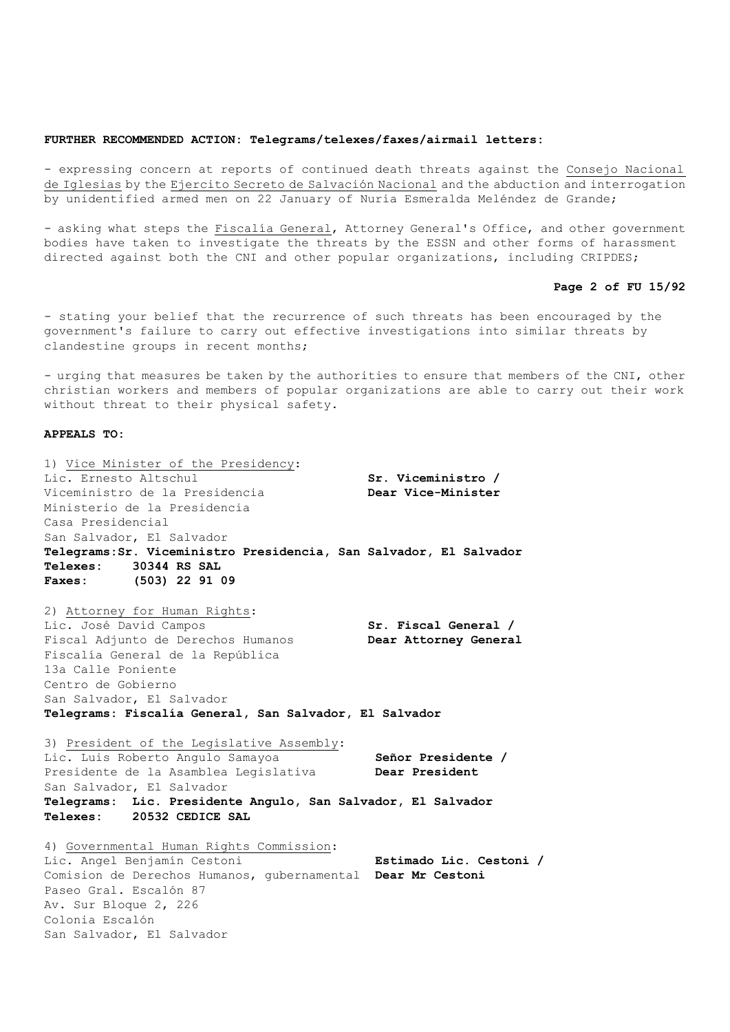## **FURTHER RECOMMENDED ACTION: Telegrams/telexes/faxes/airmail letters:**

- expressing concern at reports of continued death threats against the Consejo Nacional de Iglesias by the Ejercito Secreto de Salvación Nacional and the abduction and interrogation by unidentified armed men on 22 January of Nuria Esmeralda Meléndez de Grande;

- asking what steps the Fiscalía General, Attorney General's Office, and other government bodies have taken to investigate the threats by the ESSN and other forms of harassment directed against both the CNI and other popular organizations, including CRIPDES;

## **Page 2 of FU 15/92**

- stating your belief that the recurrence of such threats has been encouraged by the government's failure to carry out effective investigations into similar threats by clandestine groups in recent months;

- urging that measures be taken by the authorities to ensure that members of the CNI, other christian workers and members of popular organizations are able to carry out their work without threat to their physical safety.

## **APPEALS TO:**

| 1) Vice Minister of the Presidency:                                |                         |
|--------------------------------------------------------------------|-------------------------|
| Lic. Ernesto Altschul                                              | Sr. Viceministro /      |
| Viceministro de la Presidencia                                     | Dear Vice-Minister      |
| Ministerio de la Presidencia                                       |                         |
| Casa Presidencial                                                  |                         |
| San Salvador, El Salvador                                          |                         |
| Telegrams: Sr. Viceministro Presidencia, San Salvador, El Salvador |                         |
| Telexes: 30344 RS SAL                                              |                         |
| Faxes: (503) 22 91 09                                              |                         |
|                                                                    |                         |
| 2) Attorney for Human Rights:                                      |                         |
| Lic. José David Campos                                             | Sr. Fiscal General /    |
| Fiscal Adjunto de Derechos Humanos                                 | Dear Attorney General   |
| Fiscalía General de la República                                   |                         |
| 13a Calle Poniente                                                 |                         |
| Centro de Gobierno                                                 |                         |
| San Salvador, El Salvador                                          |                         |
| Telegrams: Fiscalía General, San Salvador, El Salvador             |                         |
|                                                                    |                         |
| 3) President of the Legislative Assembly:                          |                         |
| Lic. Luis Roberto Angulo Samayoa                                   | Señor Presidente /      |
| Presidente de la Asamblea Legislativa                              | <b>Dear President</b>   |
| San Salvador, El Salvador                                          |                         |
| Telegrams: Lic. Presidente Angulo, San Salvador, El Salvador       |                         |
| Telexes: 20532 CEDICE SAL                                          |                         |
| 4) Governmental Human Rights Commission:                           |                         |
| Lic. Angel Benjamín Cestoni                                        | Estimado Lic. Cestoni / |
| Comision de Derechos Humanos, gubernamental Dear Mr Cestoni        |                         |
| Paseo Gral, Escalón 87                                             |                         |
| Av. Sur Bloque 2, 226                                              |                         |
| Colonia Escalón                                                    |                         |
| San Salvador, El Salvador                                          |                         |
|                                                                    |                         |